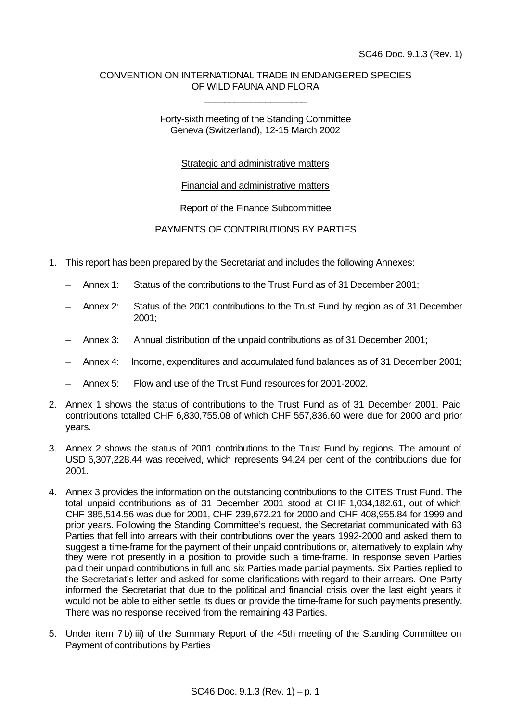# CONVENTION ON INTERNATIONAL TRADE IN ENDANGERED SPECIES OF WILD FAUNA AND FLORA

\_\_\_\_\_\_\_\_\_\_\_\_\_\_\_\_\_\_\_\_

### Forty-sixth meeting of the Standing Committee Geneva (Switzerland), 12-15 March 2002

# Strategic and administrative matters

### Financial and administrative matters

### Report of the Finance Subcommittee

# PAYMENTS OF CONTRIBUTIONS BY PARTIES

- 1. This report has been prepared by the Secretariat and includes the following Annexes:
	- Annex 1: Status of the contributions to the Trust Fund as of 31 December 2001;
	- Annex 2: Status of the 2001 contributions to the Trust Fund by region as of 31 December 2001;
	- Annex 3: Annual distribution of the unpaid contributions as of 31 December 2001;
	- Annex 4: Income, expenditures and accumulated fund balances as of 31 December 2001;
	- Annex 5: Flow and use of the Trust Fund resources for 2001-2002.
- 2. Annex 1 shows the status of contributions to the Trust Fund as of 31 December 2001. Paid contributions totalled CHF 6,830,755.08 of which CHF 557,836.60 were due for 2000 and prior years.
- 3. Annex 2 shows the status of 2001 contributions to the Trust Fund by regions. The amount of USD 6,307,228.44 was received, which represents 94.24 per cent of the contributions due for 2001.
- 4. Annex 3 provides the information on the outstanding contributions to the CITES Trust Fund. The total unpaid contributions as of 31 December 2001 stood at CHF 1,034,182.61, out of which CHF 385,514.56 was due for 2001, CHF 239,672.21 for 2000 and CHF 408,955.84 for 1999 and prior years. Following the Standing Committee's request, the Secretariat communicated with 63 Parties that fell into arrears with their contributions over the years 1992-2000 and asked them to suggest a time-frame for the payment of their unpaid contributions or, alternatively to explain why they were not presently in a position to provide such a time-frame. In response seven Parties paid their unpaid contributions in full and six Parties made partial payments. Six Parties replied to the Secretariat's letter and asked for some clarifications with regard to their arrears. One Party informed the Secretariat that due to the political and financial crisis over the last eight years it would not be able to either settle its dues or provide the time-frame for such payments presently. There was no response received from the remaining 43 Parties.
- 5. Under item 7b) iii) of the Summary Report of the 45th meeting of the Standing Committee on Payment of contributions by Parties